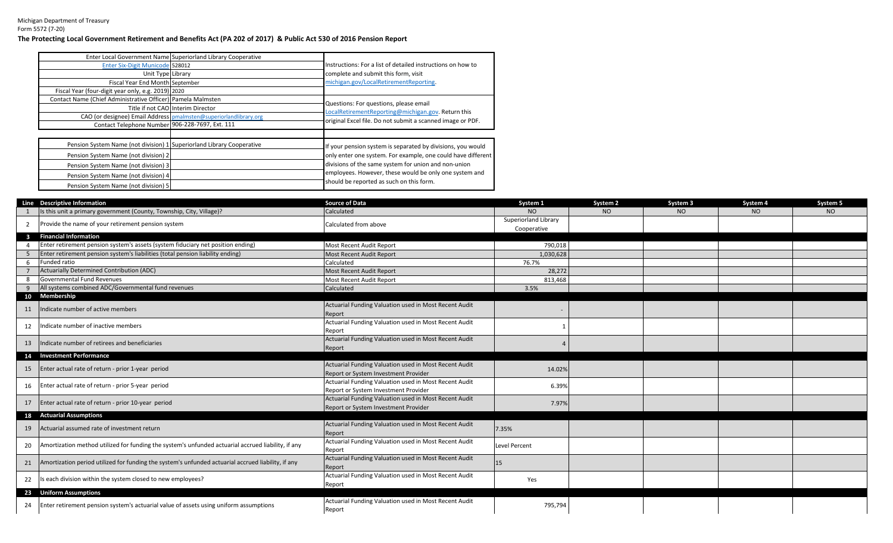## Michigan Department of Treasury Form 5572 (7-20) **The Protecting Local Government Retirement and Benefits Act (PA 202 of 2017) & Public Act 530 of 2016 Pension Report**

|                                                                       | Enter Local Government Name Superiorland Library Cooperative      |                                                              |
|-----------------------------------------------------------------------|-------------------------------------------------------------------|--------------------------------------------------------------|
| <b>Enter Six-Digit Municode 528012</b>                                |                                                                   | Instructions: For a list of detailed instructions on how to  |
| Unit Type Library                                                     |                                                                   | complete and submit this form, visit                         |
| Fiscal Year End Month September                                       |                                                                   | michigan.gov/LocalRetirementReporting.                       |
| Fiscal Year (four-digit year only, e.g. 2019) 2020                    |                                                                   |                                                              |
| Contact Name (Chief Administrative Officer) Pamela Malmsten           |                                                                   | Questions: For questions, please email                       |
|                                                                       | Title if not CAO Interim Director                                 |                                                              |
|                                                                       | CAO (or designee) Email Address pmalmsten@superiorlandlibrary.org | LocalRetirementReporting@michigan.gov. Return this           |
| Contact Telephone Number 906-228-7697, Ext. 111                       |                                                                   | original Excel file. Do not submit a scanned image or PDF.   |
|                                                                       |                                                                   |                                                              |
| Pension System Name (not division) 1 Superiorland Library Cooperative |                                                                   | If your pension system is separated by divisions, you would  |
| Pension System Name (not division) 2                                  |                                                                   | only enter one system. For example, one could have different |
| Pension System Name (not division) 3                                  |                                                                   | divisions of the same system for union and non-union         |
| Pension System Name (not division) 4                                  |                                                                   | employees. However, these would be only one system and       |
| Pension System Name (not division) 5                                  |                                                                   | should be reported as such on this form.                     |

|              | Line Descriptive Information                                                                       | <b>Source of Data</b>                                 | System 1             | System <sub>2</sub> | System 3 | System 4 | System 5 |
|--------------|----------------------------------------------------------------------------------------------------|-------------------------------------------------------|----------------------|---------------------|----------|----------|----------|
|              | Is this unit a primary government (County, Township, City, Village)?                               | Calculated                                            | NO.                  | NO <sub>1</sub>     | NO       | NO       | NO       |
| 2            | Provide the name of your retirement pension system                                                 | Calculated from above                                 | Superiorland Library |                     |          |          |          |
|              |                                                                                                    |                                                       | Cooperative          |                     |          |          |          |
| $\mathbf{3}$ | <b>Financial Information</b>                                                                       |                                                       |                      |                     |          |          |          |
|              | Enter retirement pension system's assets (system fiduciary net position ending)                    | Most Recent Audit Report                              | 790,018              |                     |          |          |          |
|              | Enter retirement pension system's liabilities (total pension liability ending)                     | Most Recent Audit Report                              | 1,030,628            |                     |          |          |          |
|              | Funded ratio                                                                                       | Calculated                                            | 76.7%                |                     |          |          |          |
|              | Actuarially Determined Contribution (ADC)                                                          | <b>Most Recent Audit Report</b>                       | 28,272               |                     |          |          |          |
|              | Governmental Fund Revenues                                                                         | Most Recent Audit Report                              | 813,468              |                     |          |          |          |
|              | All systems combined ADC/Governmental fund revenues                                                | Calculated                                            | 3.5%                 |                     |          |          |          |
|              | 10 Membership                                                                                      |                                                       |                      |                     |          |          |          |
| 11           | Indicate number of active members                                                                  | Actuarial Funding Valuation used in Most Recent Audit |                      |                     |          |          |          |
|              |                                                                                                    | Report                                                |                      |                     |          |          |          |
| 12           | Indicate number of inactive members                                                                | Actuarial Funding Valuation used in Most Recent Audit |                      |                     |          |          |          |
|              |                                                                                                    | Report                                                |                      |                     |          |          |          |
| 13           | Indicate number of retirees and beneficiaries                                                      | Actuarial Funding Valuation used in Most Recent Audit |                      |                     |          |          |          |
|              |                                                                                                    | Report                                                |                      |                     |          |          |          |
|              | 14 Investment Performance                                                                          |                                                       |                      |                     |          |          |          |
| 15           | Enter actual rate of return - prior 1-year period                                                  | Actuarial Funding Valuation used in Most Recent Audit | 14.02%               |                     |          |          |          |
|              |                                                                                                    | Report or System Investment Provider                  |                      |                     |          |          |          |
| 16           | Enter actual rate of return - prior 5-year period                                                  | Actuarial Funding Valuation used in Most Recent Audit | 6.39%                |                     |          |          |          |
|              |                                                                                                    | Report or System Investment Provider                  |                      |                     |          |          |          |
| 17           | Enter actual rate of return - prior 10-year period                                                 | Actuarial Funding Valuation used in Most Recent Audit | 7.97%                |                     |          |          |          |
|              |                                                                                                    | Report or System Investment Provider                  |                      |                     |          |          |          |
|              | 18 Actuarial Assumptions                                                                           |                                                       |                      |                     |          |          |          |
| 19           | Actuarial assumed rate of investment return                                                        | Actuarial Funding Valuation used in Most Recent Audit | 7.35%                |                     |          |          |          |
|              |                                                                                                    | Report                                                |                      |                     |          |          |          |
| 20           | Amortization method utilized for funding the system's unfunded actuarial accrued liability, if any | Actuarial Funding Valuation used in Most Recent Audit | <b>Level Percent</b> |                     |          |          |          |
|              |                                                                                                    | Report                                                |                      |                     |          |          |          |
| 21           | Amortization period utilized for funding the system's unfunded actuarial accrued liability, if any | Actuarial Funding Valuation used in Most Recent Audit | 15                   |                     |          |          |          |
|              |                                                                                                    | Report                                                |                      |                     |          |          |          |
| 22           | Is each division within the system closed to new employees?                                        | Actuarial Funding Valuation used in Most Recent Audit | Yes                  |                     |          |          |          |
|              |                                                                                                    | Report                                                |                      |                     |          |          |          |
|              | 23 Uniform Assumptions                                                                             |                                                       |                      |                     |          |          |          |
| 24           | Enter retirement pension system's actuarial value of assets using uniform assumptions              | Actuarial Funding Valuation used in Most Recent Audit | 795,794              |                     |          |          |          |
|              |                                                                                                    | Report                                                |                      |                     |          |          |          |